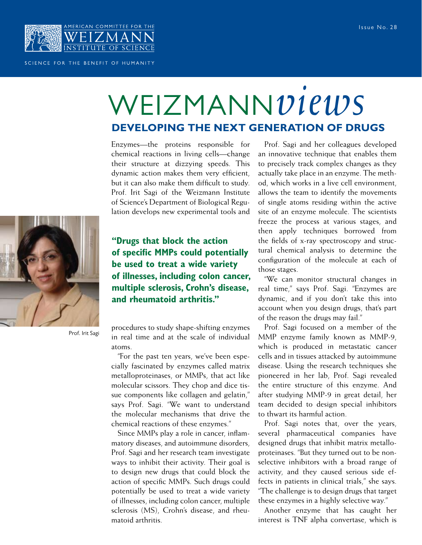

## SCIENCE FOR THE BENEFIT OF HUMANITY

## WEIZMANN*views* **Developing the Next Generation of Drugs**

Enzymes—the proteins responsible for chemical reactions in living cells—change their structure at dizzying speeds. This dynamic action makes them very efficient, but it can also make them difficult to study. Prof. Irit Sagi of the Weizmann Institute of Science's Department of Biological Regulation develops new experimental tools and



**"Drugs that block the action of specific MMPs could potentially be used to treat a wide variety of illnesses, including colon cancer, multiple sclerosis, Crohn's disease, and rheumatoid arthritis."**

Prof. Irit Sagi

procedures to study shape-shifting enzymes in real time and at the scale of individual atoms.

"For the past ten years, we've been especially fascinated by enzymes called matrix metalloproteinases, or MMPs, that act like molecular scissors. They chop and dice tissue components like collagen and gelatin," says Prof. Sagi. "We want to understand the molecular mechanisms that drive the chemical reactions of these enzymes."

Since MMPs play a role in cancer, inflammatory diseases, and autoimmune disorders, Prof. Sagi and her research team investigate ways to inhibit their activity. Their goal is to design new drugs that could block the action of specific MMPs. Such drugs could potentially be used to treat a wide variety of illnesses, including colon cancer, multiple sclerosis (MS), Crohn's disease, and rheumatoid arthritis.

Prof. Sagi and her colleagues developed an innovative technique that enables them to precisely track complex changes as they actually take place in an enzyme. The method, which works in a live cell environment, allows the team to identify the movements of single atoms residing within the active site of an enzyme molecule. The scientists freeze the process at various stages, and then apply techniques borrowed from the fields of x-ray spectroscopy and structural chemical analysis to determine the configuration of the molecule at each of those stages.

"We can monitor structural changes in real time," says Prof. Sagi. "Enzymes are dynamic, and if you don't take this into account when you design drugs, that's part of the reason the drugs may fail."

Prof. Sagi focused on a member of the MMP enzyme family known as MMP-9, which is produced in metastatic cancer cells and in tissues attacked by autoimmune disease. Using the research techniques she pioneered in her lab, Prof. Sagi revealed the entire structure of this enzyme. And after studying MMP-9 in great detail, her team decided to design special inhibitors to thwart its harmful action.

Prof. Sagi notes that, over the years, several pharmaceutical companies have designed drugs that inhibit matrix metalloproteinases. "But they turned out to be nonselective inhibitors with a broad range of activity, and they caused serious side effects in patients in clinical trials," she says. "The challenge is to design drugs that target these enzymes in a highly selective way."

Another enzyme that has caught her interest is TNF alpha convertase, which is